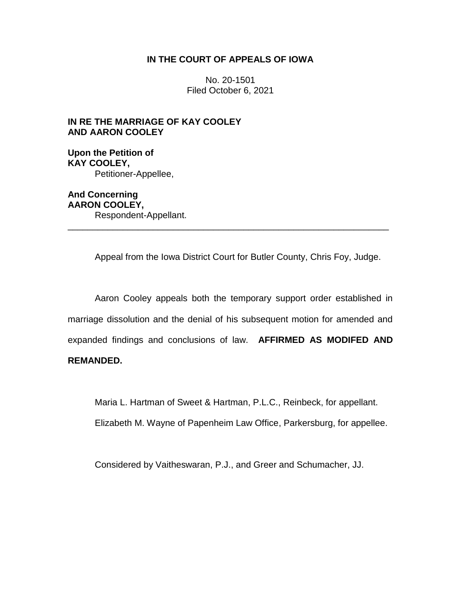# **IN THE COURT OF APPEALS OF IOWA**

No. 20-1501 Filed October 6, 2021

# **IN RE THE MARRIAGE OF KAY COOLEY AND AARON COOLEY**

**Upon the Petition of KAY COOLEY,** Petitioner-Appellee,

**And Concerning AARON COOLEY,** Respondent-Appellant. \_\_\_\_\_\_\_\_\_\_\_\_\_\_\_\_\_\_\_\_\_\_\_\_\_\_\_\_\_\_\_\_\_\_\_\_\_\_\_\_\_\_\_\_\_\_\_\_\_\_\_\_\_\_\_\_\_\_\_\_\_\_\_\_

Appeal from the Iowa District Court for Butler County, Chris Foy, Judge.

Aaron Cooley appeals both the temporary support order established in marriage dissolution and the denial of his subsequent motion for amended and expanded findings and conclusions of law. **AFFIRMED AS MODIFED AND REMANDED.**

Maria L. Hartman of Sweet & Hartman, P.L.C., Reinbeck, for appellant.

Elizabeth M. Wayne of Papenheim Law Office, Parkersburg, for appellee.

Considered by Vaitheswaran, P.J., and Greer and Schumacher, JJ.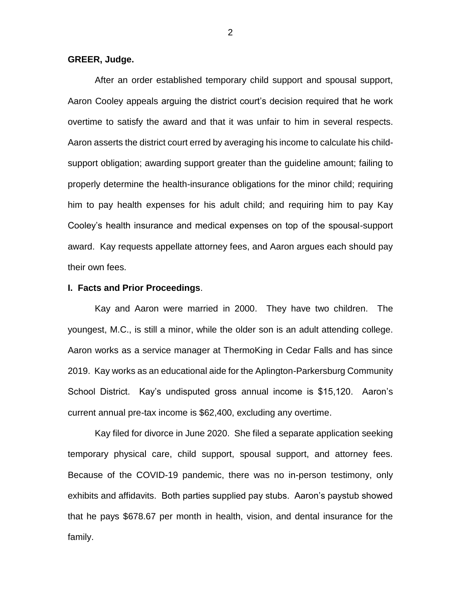### **GREER, Judge.**

After an order established temporary child support and spousal support, Aaron Cooley appeals arguing the district court's decision required that he work overtime to satisfy the award and that it was unfair to him in several respects. Aaron asserts the district court erred by averaging his income to calculate his childsupport obligation; awarding support greater than the guideline amount; failing to properly determine the health-insurance obligations for the minor child; requiring him to pay health expenses for his adult child; and requiring him to pay Kay Cooley's health insurance and medical expenses on top of the spousal-support award. Kay requests appellate attorney fees, and Aaron argues each should pay their own fees.

# **I. Facts and Prior Proceedings**.

Kay and Aaron were married in 2000. They have two children. The youngest, M.C., is still a minor, while the older son is an adult attending college. Aaron works as a service manager at ThermoKing in Cedar Falls and has since 2019. Kay works as an educational aide for the Aplington-Parkersburg Community School District. Kay's undisputed gross annual income is \$15,120. Aaron's current annual pre-tax income is \$62,400, excluding any overtime.

Kay filed for divorce in June 2020. She filed a separate application seeking temporary physical care, child support, spousal support, and attorney fees. Because of the COVID-19 pandemic, there was no in-person testimony, only exhibits and affidavits. Both parties supplied pay stubs. Aaron's paystub showed that he pays \$678.67 per month in health, vision, and dental insurance for the family.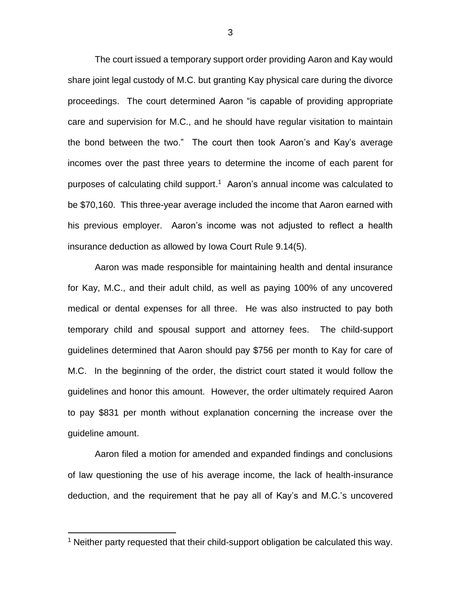The court issued a temporary support order providing Aaron and Kay would share joint legal custody of M.C. but granting Kay physical care during the divorce proceedings. The court determined Aaron "is capable of providing appropriate care and supervision for M.C., and he should have regular visitation to maintain the bond between the two." The court then took Aaron's and Kay's average incomes over the past three years to determine the income of each parent for purposes of calculating child support. 1 Aaron's annual income was calculated to be \$70,160. This three-year average included the income that Aaron earned with his previous employer. Aaron's income was not adjusted to reflect a health insurance deduction as allowed by Iowa Court Rule 9.14(5).

Aaron was made responsible for maintaining health and dental insurance for Kay, M.C., and their adult child, as well as paying 100% of any uncovered medical or dental expenses for all three. He was also instructed to pay both temporary child and spousal support and attorney fees. The child-support guidelines determined that Aaron should pay \$756 per month to Kay for care of M.C. In the beginning of the order, the district court stated it would follow the guidelines and honor this amount. However, the order ultimately required Aaron to pay \$831 per month without explanation concerning the increase over the guideline amount.

Aaron filed a motion for amended and expanded findings and conclusions of law questioning the use of his average income, the lack of health-insurance deduction, and the requirement that he pay all of Kay's and M.C.'s uncovered

 $\overline{a}$ 

<sup>&</sup>lt;sup>1</sup> Neither party requested that their child-support obligation be calculated this way.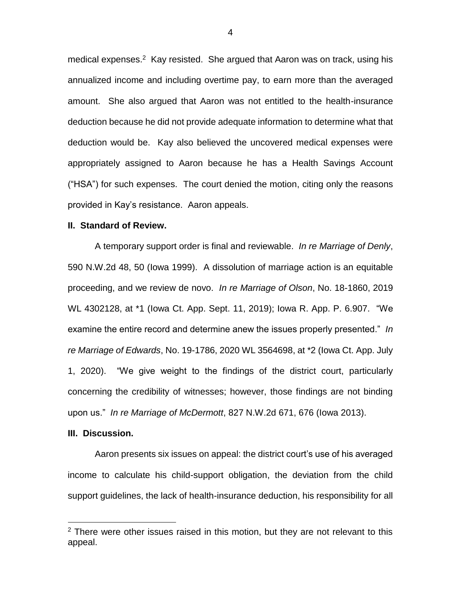medical expenses.<sup>2</sup> Kay resisted. She argued that Aaron was on track, using his annualized income and including overtime pay, to earn more than the averaged amount. She also argued that Aaron was not entitled to the health-insurance deduction because he did not provide adequate information to determine what that deduction would be. Kay also believed the uncovered medical expenses were appropriately assigned to Aaron because he has a Health Savings Account ("HSA") for such expenses. The court denied the motion, citing only the reasons provided in Kay's resistance. Aaron appeals.

#### **II. Standard of Review.**

A temporary support order is final and reviewable. *In re Marriage of Denly*, 590 N.W.2d 48, 50 (Iowa 1999). A dissolution of marriage action is an equitable proceeding, and we review de novo. *In re Marriage of Olson*, No. 18-1860, 2019 WL 4302128, at \*1 (Iowa Ct. App. Sept. 11, 2019); Iowa R. App. P. 6.907. "We examine the entire record and determine anew the issues properly presented." *In re Marriage of Edwards*, No. 19-1786, 2020 WL 3564698, at \*2 (Iowa Ct. App. July 1, 2020). "We give weight to the findings of the district court, particularly concerning the credibility of witnesses; however, those findings are not binding upon us." *In re Marriage of McDermott*, 827 N.W.2d 671, 676 (Iowa 2013).

#### **III. Discussion.**

 $\overline{a}$ 

Aaron presents six issues on appeal: the district court's use of his averaged income to calculate his child-support obligation, the deviation from the child support guidelines, the lack of health-insurance deduction, his responsibility for all

 $2$  There were other issues raised in this motion, but they are not relevant to this appeal.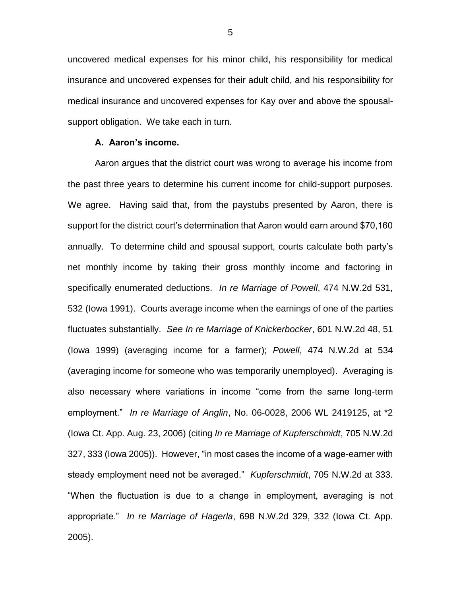uncovered medical expenses for his minor child, his responsibility for medical insurance and uncovered expenses for their adult child, and his responsibility for medical insurance and uncovered expenses for Kay over and above the spousalsupport obligation. We take each in turn.

### **A. Aaron's income.**

Aaron argues that the district court was wrong to average his income from the past three years to determine his current income for child-support purposes. We agree. Having said that, from the paystubs presented by Aaron, there is support for the district court's determination that Aaron would earn around \$70,160 annually. To determine child and spousal support, courts calculate both party's net monthly income by taking their gross monthly income and factoring in specifically enumerated deductions. *In re Marriage of Powell*, 474 N.W.2d 531, 532 (Iowa 1991). Courts average income when the earnings of one of the parties fluctuates substantially. *See In re Marriage of Knickerbocker*, 601 N.W.2d 48, 51 (Iowa 1999) (averaging income for a farmer); *Powell*, 474 N.W.2d at 534 (averaging income for someone who was temporarily unemployed). Averaging is also necessary where variations in income "come from the same long-term employment." *In re Marriage of Anglin*, No. 06-0028, 2006 WL 2419125, at \*2 (Iowa Ct. App. Aug. 23, 2006) (citing *In re Marriage of Kupferschmidt*, 705 N.W.2d 327, 333 (Iowa 2005)). However, "in most cases the income of a wage-earner with steady employment need not be averaged." *Kupferschmidt*, 705 N.W.2d at 333. "When the fluctuation is due to a change in employment, averaging is not appropriate." *In re Marriage of Hagerla*, 698 N.W.2d 329, 332 (Iowa Ct. App. 2005).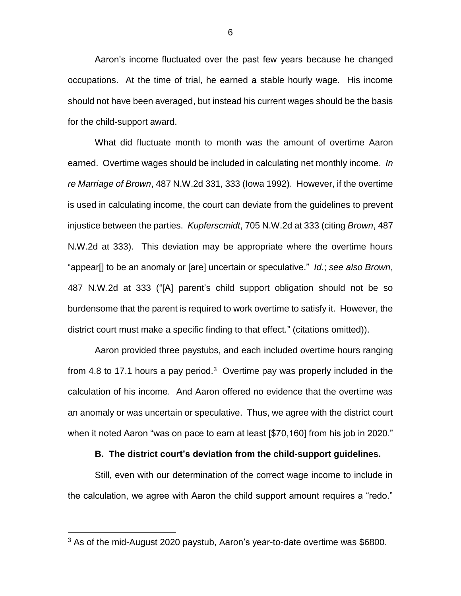Aaron's income fluctuated over the past few years because he changed occupations. At the time of trial, he earned a stable hourly wage. His income should not have been averaged, but instead his current wages should be the basis for the child-support award.

What did fluctuate month to month was the amount of overtime Aaron earned. Overtime wages should be included in calculating net monthly income. *In re Marriage of Brown*, 487 N.W.2d 331, 333 (Iowa 1992). However, if the overtime is used in calculating income, the court can deviate from the guidelines to prevent injustice between the parties. *Kupferscmidt*, 705 N.W.2d at 333 (citing *Brown*, 487 N.W.2d at 333). This deviation may be appropriate where the overtime hours "appear[] to be an anomaly or [are] uncertain or speculative." *Id.*; *see also Brown*, 487 N.W.2d at 333 ("[A] parent's child support obligation should not be so burdensome that the parent is required to work overtime to satisfy it. However, the district court must make a specific finding to that effect." (citations omitted)).

Aaron provided three paystubs, and each included overtime hours ranging from 4.8 to 17.1 hours a pay period.<sup>3</sup> Overtime pay was properly included in the calculation of his income. And Aaron offered no evidence that the overtime was an anomaly or was uncertain or speculative. Thus, we agree with the district court when it noted Aaron "was on pace to earn at least [\$70,160] from his job in 2020."

# **B. The district court's deviation from the child-support guidelines.**

Still, even with our determination of the correct wage income to include in the calculation, we agree with Aaron the child support amount requires a "redo."

 $\overline{a}$ 

 $3$  As of the mid-August 2020 paystub, Aaron's year-to-date overtime was \$6800.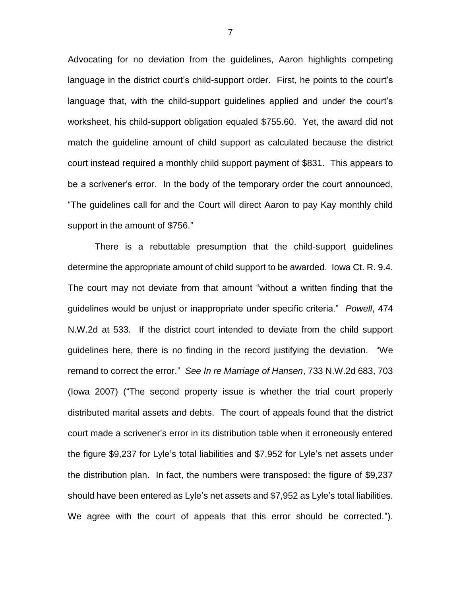Advocating for no deviation from the guidelines, Aaron highlights competing language in the district court's child-support order. First, he points to the court's language that, with the child-support guidelines applied and under the court's worksheet, his child-support obligation equaled \$755.60. Yet, the award did not match the guideline amount of child support as calculated because the district court instead required a monthly child support payment of \$831. This appears to be a scrivener's error. In the body of the temporary order the court announced, "The guidelines call for and the Court will direct Aaron to pay Kay monthly child support in the amount of \$756."

There is a rebuttable presumption that the child-support guidelines determine the appropriate amount of child support to be awarded. Iowa Ct. R. 9.4. The court may not deviate from that amount "without a written finding that the guidelines would be unjust or inappropriate under specific criteria." *Powell*, 474 N.W.2d at 533. If the district court intended to deviate from the child support guidelines here, there is no finding in the record justifying the deviation. "We remand to correct the error." *See In re Marriage of Hansen*, 733 N.W.2d 683, 703 (Iowa 2007) ("The second property issue is whether the trial court properly distributed marital assets and debts. The court of appeals found that the district court made a scrivener's error in its distribution table when it erroneously entered the figure \$9,237 for Lyle's total liabilities and \$7,952 for Lyle's net assets under the distribution plan. In fact, the numbers were transposed: the figure of \$9,237 should have been entered as Lyle's net assets and \$7,952 as Lyle's total liabilities. We agree with the court of appeals that this error should be corrected.").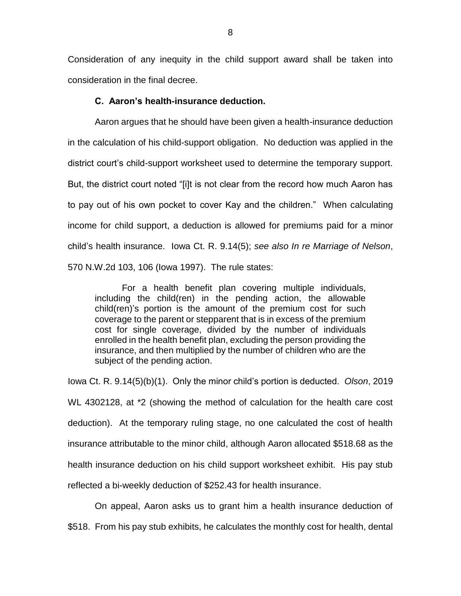Consideration of any inequity in the child support award shall be taken into consideration in the final decree.

#### **C. Aaron's health-insurance deduction.**

Aaron argues that he should have been given a health-insurance deduction in the calculation of his child-support obligation. No deduction was applied in the district court's child-support worksheet used to determine the temporary support. But, the district court noted "[i]t is not clear from the record how much Aaron has to pay out of his own pocket to cover Kay and the children." When calculating income for child support, a deduction is allowed for premiums paid for a minor child's health insurance. Iowa Ct. R. 9.14(5); *see also In re Marriage of Nelson*, 570 N.W.2d 103, 106 (Iowa 1997). The rule states:

For a health benefit plan covering multiple individuals, including the child(ren) in the pending action, the allowable child(ren)'s portion is the amount of the premium cost for such coverage to the parent or stepparent that is in excess of the premium cost for single coverage, divided by the number of individuals enrolled in the health benefit plan, excluding the person providing the insurance, and then multiplied by the number of children who are the subject of the pending action.

Iowa Ct. R. 9.14(5)(b)(1). Only the minor child's portion is deducted. *Olson*, 2019 WL 4302128, at \*2 (showing the method of calculation for the health care cost deduction). At the temporary ruling stage, no one calculated the cost of health insurance attributable to the minor child, although Aaron allocated \$518.68 as the health insurance deduction on his child support worksheet exhibit. His pay stub reflected a bi-weekly deduction of \$252.43 for health insurance.

On appeal, Aaron asks us to grant him a health insurance deduction of

\$518. From his pay stub exhibits, he calculates the monthly cost for health, dental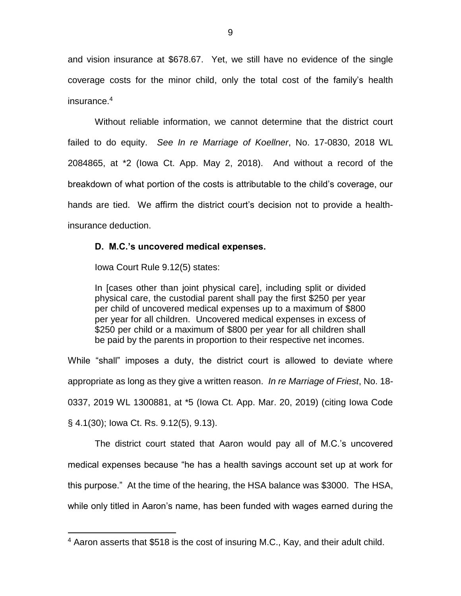and vision insurance at \$678.67. Yet, we still have no evidence of the single coverage costs for the minor child, only the total cost of the family's health insurance. 4

Without reliable information, we cannot determine that the district court failed to do equity. *See In re Marriage of Koellner*, No. 17-0830, 2018 WL 2084865, at \*2 (Iowa Ct. App. May 2, 2018). And without a record of the breakdown of what portion of the costs is attributable to the child's coverage, our hands are tied. We affirm the district court's decision not to provide a healthinsurance deduction.

# **D. M.C.'s uncovered medical expenses.**

Iowa Court Rule 9.12(5) states:

 $\overline{a}$ 

In [cases other than joint physical care], including split or divided physical care, the custodial parent shall pay the first \$250 per year per child of uncovered medical expenses up to a maximum of \$800 per year for all children. Uncovered medical expenses in excess of \$250 per child or a maximum of \$800 per year for all children shall be paid by the parents in proportion to their respective net incomes.

While "shall" imposes a duty, the district court is allowed to deviate where appropriate as long as they give a written reason. *In re Marriage of Friest*, No. 18- 0337, 2019 WL 1300881, at \*5 (Iowa Ct. App. Mar. 20, 2019) (citing Iowa Code § 4.1(30); Iowa Ct. Rs. 9.12(5), 9.13).

The district court stated that Aaron would pay all of M.C.'s uncovered medical expenses because "he has a health savings account set up at work for this purpose." At the time of the hearing, the HSA balance was \$3000. The HSA, while only titled in Aaron's name, has been funded with wages earned during the

<sup>4</sup> Aaron asserts that \$518 is the cost of insuring M.C., Kay, and their adult child.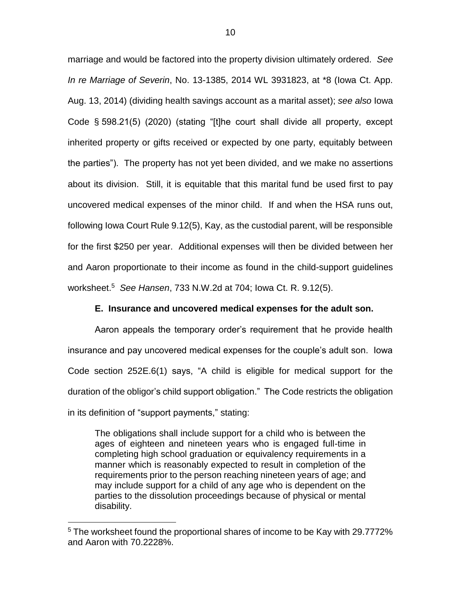marriage and would be factored into the property division ultimately ordered. *See In re Marriage of Severin*, No. 13-1385, 2014 WL 3931823, at \*8 (Iowa Ct. App. Aug. 13, 2014) (dividing health savings account as a marital asset); *see also* Iowa Code § 598.21(5) (2020) (stating "[t]he court shall divide all property, except inherited property or gifts received or expected by one party, equitably between the parties"). The property has not yet been divided, and we make no assertions about its division. Still, it is equitable that this marital fund be used first to pay uncovered medical expenses of the minor child. If and when the HSA runs out, following Iowa Court Rule 9.12(5), Kay, as the custodial parent, will be responsible for the first \$250 per year. Additional expenses will then be divided between her and Aaron proportionate to their income as found in the child-support guidelines worksheet. <sup>5</sup> *See Hansen*, 733 N.W.2d at 704; Iowa Ct. R. 9.12(5).

# **E. Insurance and uncovered medical expenses for the adult son.**

Aaron appeals the temporary order's requirement that he provide health insurance and pay uncovered medical expenses for the couple's adult son. Iowa Code section 252E.6(1) says, "A child is eligible for medical support for the duration of the obligor's child support obligation." The Code restricts the obligation in its definition of "support payments," stating:

The obligations shall include support for a child who is between the ages of eighteen and nineteen years who is engaged full-time in completing high school graduation or equivalency requirements in a manner which is reasonably expected to result in completion of the requirements prior to the person reaching nineteen years of age; and may include support for a child of any age who is dependent on the parties to the dissolution proceedings because of physical or mental disability.

 $\overline{a}$ 

<sup>5</sup> The worksheet found the proportional shares of income to be Kay with 29.7772% and Aaron with 70.2228%.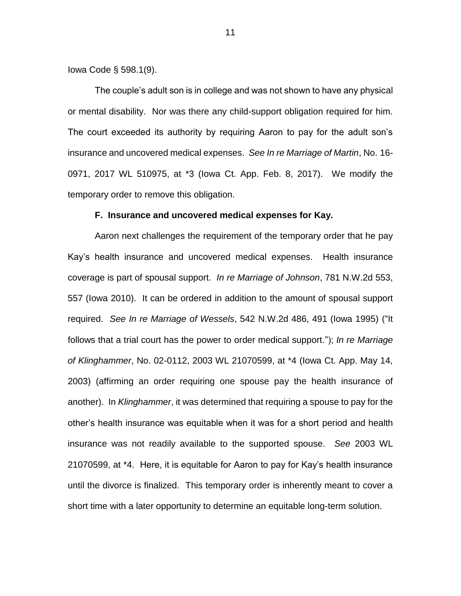Iowa Code § 598.1(9).

The couple's adult son is in college and was not shown to have any physical or mental disability. Nor was there any child-support obligation required for him. The court exceeded its authority by requiring Aaron to pay for the adult son's insurance and uncovered medical expenses. *See In re Marriage of Martin*, No. 16- 0971, 2017 WL 510975, at \*3 (Iowa Ct. App. Feb. 8, 2017). We modify the temporary order to remove this obligation.

# **F. Insurance and uncovered medical expenses for Kay.**

Aaron next challenges the requirement of the temporary order that he pay Kay's health insurance and uncovered medical expenses. Health insurance coverage is part of spousal support. *In re Marriage of Johnson*, 781 N.W.2d 553, 557 (Iowa 2010). It can be ordered in addition to the amount of spousal support required. *See In re Marriage of Wessels*, 542 N.W.2d 486, 491 (Iowa 1995) ("It follows that a trial court has the power to order medical support."); *In re Marriage of Klinghammer*, No. 02-0112, 2003 WL 21070599, at \*4 (Iowa Ct. App. May 14, 2003) (affirming an order requiring one spouse pay the health insurance of another). In *Klinghammer*, it was determined that requiring a spouse to pay for the other's health insurance was equitable when it was for a short period and health insurance was not readily available to the supported spouse. *See* 2003 WL 21070599, at \*4. Here, it is equitable for Aaron to pay for Kay's health insurance until the divorce is finalized. This temporary order is inherently meant to cover a short time with a later opportunity to determine an equitable long-term solution.

11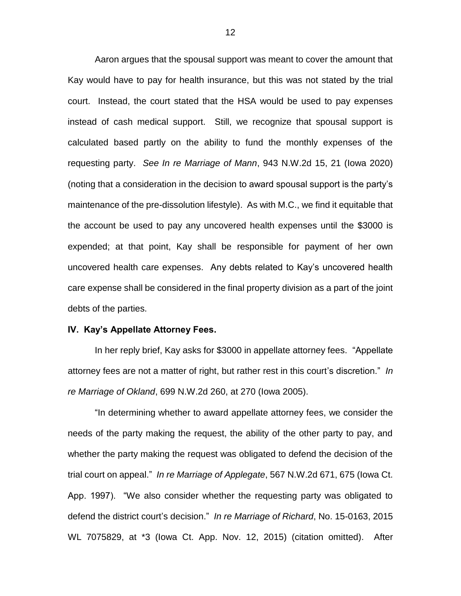Aaron argues that the spousal support was meant to cover the amount that Kay would have to pay for health insurance, but this was not stated by the trial court. Instead, the court stated that the HSA would be used to pay expenses instead of cash medical support. Still, we recognize that spousal support is calculated based partly on the ability to fund the monthly expenses of the requesting party. *See In re Marriage of Mann*, 943 N.W.2d 15, 21 (Iowa 2020) (noting that a consideration in the decision to award spousal support is the party's maintenance of the pre-dissolution lifestyle). As with M.C., we find it equitable that the account be used to pay any uncovered health expenses until the \$3000 is expended; at that point, Kay shall be responsible for payment of her own uncovered health care expenses. Any debts related to Kay's uncovered health care expense shall be considered in the final property division as a part of the joint debts of the parties.

### **IV. Kay's Appellate Attorney Fees.**

In her reply brief, Kay asks for \$3000 in appellate attorney fees. "Appellate attorney fees are not a matter of right, but rather rest in this court's discretion." *In re Marriage of Okland*, 699 N.W.2d 260, at 270 (Iowa 2005).

"In determining whether to award appellate attorney fees, we consider the needs of the party making the request, the ability of the other party to pay, and whether the party making the request was obligated to defend the decision of the trial court on appeal." *In re Marriage of Applegate*, 567 N.W.2d 671, 675 (Iowa Ct. App. 1997). "We also consider whether the requesting party was obligated to defend the district court's decision." *In re Marriage of Richard*, No. 15-0163, 2015 WL 7075829, at \*3 (Iowa Ct. App. Nov. 12, 2015) (citation omitted). After